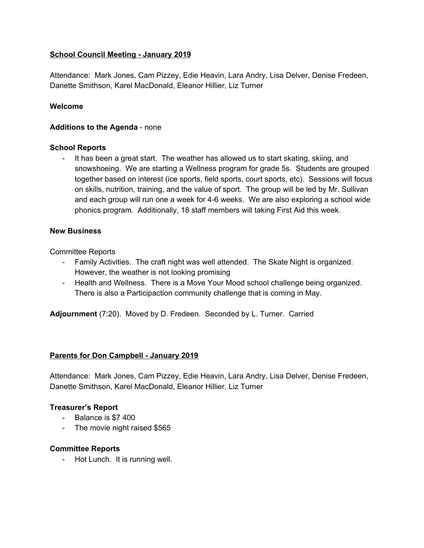### **School Council Meeting - January 2019**

Attendance: Mark Jones, Cam Pizzey, Edie Heavin, Lara Andry, Lisa Delver, Denise Fredeen, Danette Smithson, Karel MacDonald, Eleanor Hillier, Liz Turner

### **Welcome**

### **Additions to the Agenda** - none

### **School Reports**

- It has been a great start. The weather has allowed us to start skating, skiing, and snowshoeing. We are starting a Wellness program for grade 5s. Students are grouped together based on interest (ice sports, field sports, court sports, etc). Sessions will focus on skills, nutrition, training, and the value of sport. The group will be led by Mr. Sullivan and each group will run one a week for 4-6 weeks. We are also exploring a school wide phonics program. Additionally, 18 staff members will taking First Aid this week.

### **New Business**

Committee Reports

- Family Activities. The craft night was well attended. The Skate Night is organized. However, the weather is not looking promising
- Health and Wellness. There is a Move Your Mood school challenge being organized. There is also a Participaction community challenge that is coming in May.

**Adjournment** (7:20). Moved by D. Fredeen. Seconded by L. Turner. Carried

# **Parents for Don Campbell - January 2019**

Attendance: Mark Jones, Cam Pizzey, Edie Heavin, Lara Andry, Lisa Delver, Denise Fredeen, Danette Smithson, Karel MacDonald, Eleanor Hillier, Liz Turner

# **Treasurer's Report**

- Balance is \$7 400
- The movie night raised \$565

### **Committee Reports**

- Hot Lunch. It is running well.